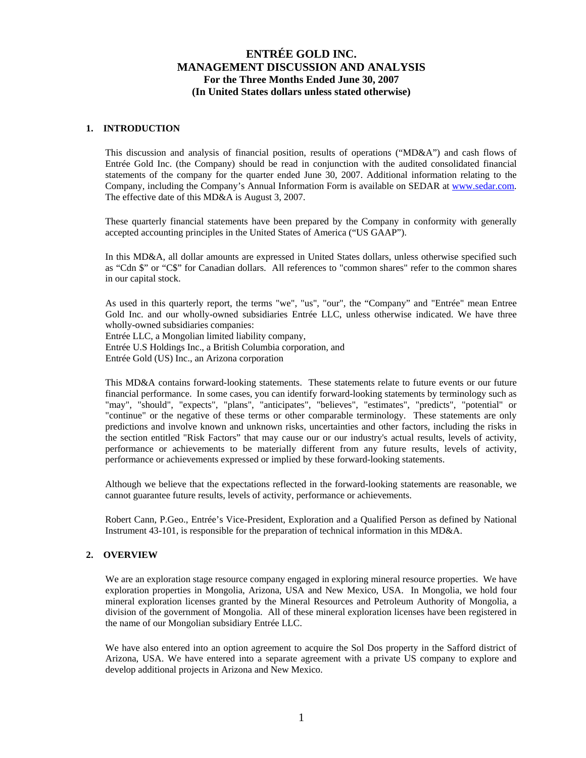### **1. INTRODUCTION**

This discussion and analysis of financial position, results of operations ("MD&A") and cash flows of Entrée Gold Inc. (the Company) should be read in conjunction with the audited consolidated financial statements of the company for the quarter ended June 30, 2007. Additional information relating to the Company, including the Company's Annual Information Form is available on SEDAR at [www.sedar.com.](http://www.sedar.com/) The effective date of this MD&A is August 3, 2007.

These quarterly financial statements have been prepared by the Company in conformity with generally accepted accounting principles in the United States of America ("US GAAP").

In this MD&A, all dollar amounts are expressed in United States dollars, unless otherwise specified such as "Cdn \$" or "C\$" for Canadian dollars. All references to "common shares" refer to the common shares in our capital stock.

As used in this quarterly report, the terms "we", "us", "our", the "Company" and "Entrée" mean Entree Gold Inc. and our wholly-owned subsidiaries Entrée LLC, unless otherwise indicated. We have three wholly-owned subsidiaries companies:

Entrée LLC, a Mongolian limited liability company, Entrée U.S Holdings Inc., a British Columbia corporation, and Entrée Gold (US) Inc., an Arizona corporation

This MD&A contains forward-looking statements. These statements relate to future events or our future financial performance. In some cases, you can identify forward-looking statements by terminology such as "may", "should", "expects", "plans", "anticipates", "believes", "estimates", "predicts", "potential" or "continue" or the negative of these terms or other comparable terminology. These statements are only predictions and involve known and unknown risks, uncertainties and other factors, including the risks in the section entitled "Risk Factors" that may cause our or our industry's actual results, levels of activity, performance or achievements to be materially different from any future results, levels of activity, performance or achievements expressed or implied by these forward-looking statements.

Although we believe that the expectations reflected in the forward-looking statements are reasonable, we cannot guarantee future results, levels of activity, performance or achievements.

Robert Cann, P.Geo., Entrée's Vice-President, Exploration and a Qualified Person as defined by National Instrument 43-101, is responsible for the preparation of technical information in this MD&A.

#### **2. OVERVIEW**

We are an exploration stage resource company engaged in exploring mineral resource properties. We have exploration properties in Mongolia, Arizona, USA and New Mexico, USA. In Mongolia, we hold four mineral exploration licenses granted by the Mineral Resources and Petroleum Authority of Mongolia, a division of the government of Mongolia. All of these mineral exploration licenses have been registered in the name of our Mongolian subsidiary Entrée LLC.

We have also entered into an option agreement to acquire the Sol Dos property in the Safford district of Arizona, USA. We have entered into a separate agreement with a private US company to explore and develop additional projects in Arizona and New Mexico.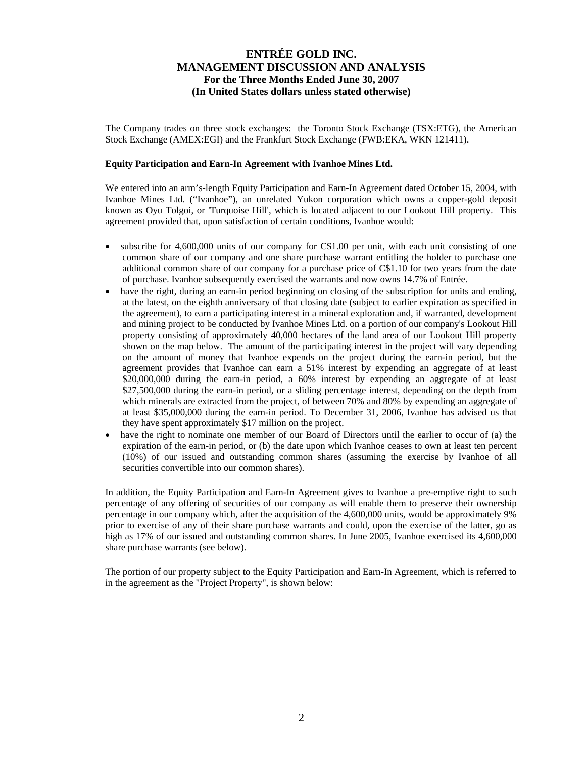The Company trades on three stock exchanges: the Toronto Stock Exchange (TSX:ETG), the American Stock Exchange (AMEX:EGI) and the Frankfurt Stock Exchange (FWB:EKA, WKN 121411).

#### **Equity Participation and Earn-In Agreement with Ivanhoe Mines Ltd.**

We entered into an arm's-length Equity Participation and Earn-In Agreement dated October 15, 2004, with Ivanhoe Mines Ltd. ("Ivanhoe"), an unrelated Yukon corporation which owns a copper-gold deposit known as Oyu Tolgoi, or 'Turquoise Hill', which is located adjacent to our Lookout Hill property. This agreement provided that, upon satisfaction of certain conditions, Ivanhoe would:

- subscribe for 4,600,000 units of our company for C\$1.00 per unit, with each unit consisting of one common share of our company and one share purchase warrant entitling the holder to purchase one additional common share of our company for a purchase price of C\$1.10 for two years from the date of purchase. Ivanhoe subsequently exercised the warrants and now owns 14.7% of Entrée.
- have the right, during an earn-in period beginning on closing of the subscription for units and ending, at the latest, on the eighth anniversary of that closing date (subject to earlier expiration as specified in the agreement), to earn a participating interest in a mineral exploration and, if warranted, development and mining project to be conducted by Ivanhoe Mines Ltd. on a portion of our company's Lookout Hill property consisting of approximately 40,000 hectares of the land area of our Lookout Hill property shown on the map below. The amount of the participating interest in the project will vary depending on the amount of money that Ivanhoe expends on the project during the earn-in period, but the agreement provides that Ivanhoe can earn a 51% interest by expending an aggregate of at least \$20,000,000 during the earn-in period, a 60% interest by expending an aggregate of at least \$27,500,000 during the earn-in period, or a sliding percentage interest, depending on the depth from which minerals are extracted from the project, of between 70% and 80% by expending an aggregate of at least \$35,000,000 during the earn-in period. To December 31, 2006, Ivanhoe has advised us that they have spent approximately \$17 million on the project.
- have the right to nominate one member of our Board of Directors until the earlier to occur of (a) the expiration of the earn-in period, or (b) the date upon which Ivanhoe ceases to own at least ten percent (10%) of our issued and outstanding common shares (assuming the exercise by Ivanhoe of all securities convertible into our common shares).

In addition, the Equity Participation and Earn-In Agreement gives to Ivanhoe a pre-emptive right to such percentage of any offering of securities of our company as will enable them to preserve their ownership percentage in our company which, after the acquisition of the 4,600,000 units, would be approximately 9% prior to exercise of any of their share purchase warrants and could, upon the exercise of the latter, go as high as 17% of our issued and outstanding common shares. In June 2005, Ivanhoe exercised its 4,600,000 share purchase warrants (see below).

The portion of our property subject to the Equity Participation and Earn-In Agreement, which is referred to in the agreement as the "Project Property", is shown below: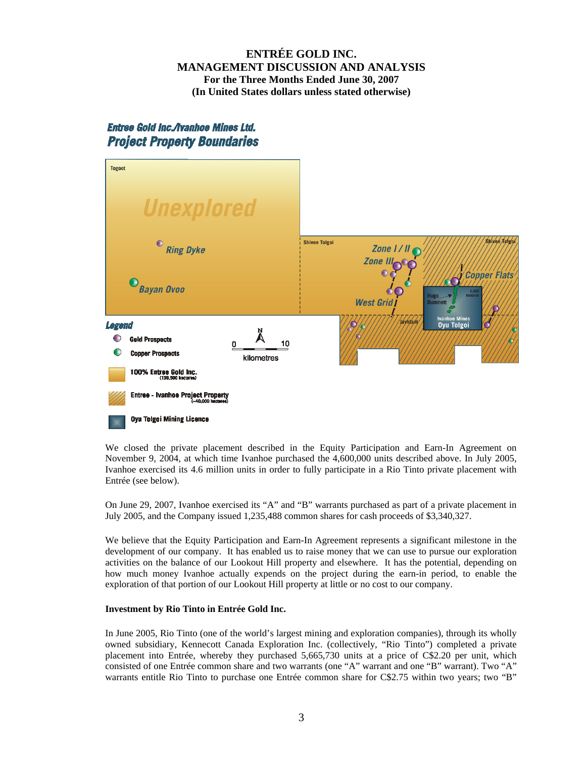# Entree Gold Inc./Ivanhoe Mines Ltd. **Project Property Boundaries**



We closed the private placement described in the Equity Participation and Earn-In Agreement on November 9, 2004, at which time Ivanhoe purchased the 4,600,000 units described above. In July 2005, Ivanhoe exercised its 4.6 million units in order to fully participate in a Rio Tinto private placement with Entrée (see below).

On June 29, 2007, Ivanhoe exercised its "A" and "B" warrants purchased as part of a private placement in July 2005, and the Company issued 1,235,488 common shares for cash proceeds of \$3,340,327.

We believe that the Equity Participation and Earn-In Agreement represents a significant milestone in the development of our company. It has enabled us to raise money that we can use to pursue our exploration activities on the balance of our Lookout Hill property and elsewhere. It has the potential, depending on how much money Ivanhoe actually expends on the project during the earn-in period, to enable the exploration of that portion of our Lookout Hill property at little or no cost to our company.

### **Investment by Rio Tinto in Entrée Gold Inc.**

In June 2005, Rio Tinto (one of the world's largest mining and exploration companies), through its wholly owned subsidiary, Kennecott Canada Exploration Inc. (collectively, "Rio Tinto") completed a private placement into Entrée, whereby they purchased 5,665,730 units at a price of C\$2.20 per unit, which consisted of one Entrée common share and two warrants (one "A" warrant and one "B" warrant). Two "A" warrants entitle Rio Tinto to purchase one Entrée common share for C\$2.75 within two years; two "B"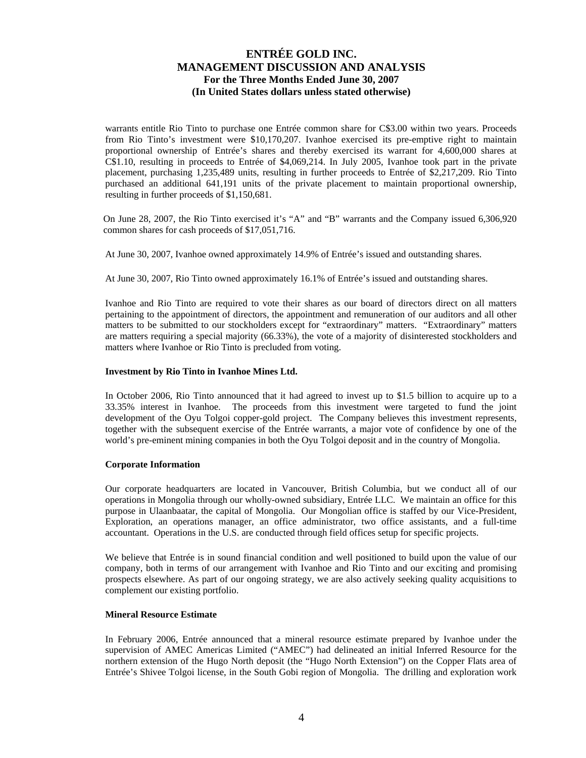warrants entitle Rio Tinto to purchase one Entrée common share for C\$3.00 within two years. Proceeds from Rio Tinto's investment were \$10,170,207. Ivanhoe exercised its pre-emptive right to maintain proportional ownership of Entrée's shares and thereby exercised its warrant for 4,600,000 shares at C\$1.10, resulting in proceeds to Entrée of \$4,069,214. In July 2005, Ivanhoe took part in the private placement, purchasing 1,235,489 units, resulting in further proceeds to Entrée of \$2,217,209. Rio Tinto purchased an additional 641,191 units of the private placement to maintain proportional ownership, resulting in further proceeds of \$1,150,681.

On June 28, 2007, the Rio Tinto exercised it's "A" and "B" warrants and the Company issued 6,306,920 common shares for cash proceeds of \$17,051,716.

At June 30, 2007, Ivanhoe owned approximately 14.9% of Entrée's issued and outstanding shares.

At June 30, 2007, Rio Tinto owned approximately 16.1% of Entrée's issued and outstanding shares.

Ivanhoe and Rio Tinto are required to vote their shares as our board of directors direct on all matters pertaining to the appointment of directors, the appointment and remuneration of our auditors and all other matters to be submitted to our stockholders except for "extraordinary" matters. "Extraordinary" matters are matters requiring a special majority (66.33%), the vote of a majority of disinterested stockholders and matters where Ivanhoe or Rio Tinto is precluded from voting.

#### **Investment by Rio Tinto in Ivanhoe Mines Ltd.**

In October 2006, Rio Tinto announced that it had agreed to invest up to \$1.5 billion to acquire up to a 33.35% interest in Ivanhoe. The proceeds from this investment were targeted to fund the joint development of the Oyu Tolgoi copper-gold project. The Company believes this investment represents, together with the subsequent exercise of the Entrée warrants, a major vote of confidence by one of the world's pre-eminent mining companies in both the Oyu Tolgoi deposit and in the country of Mongolia.

#### **Corporate Information**

Our corporate headquarters are located in Vancouver, British Columbia, but we conduct all of our operations in Mongolia through our wholly-owned subsidiary, Entrée LLC. We maintain an office for this purpose in Ulaanbaatar, the capital of Mongolia. Our Mongolian office is staffed by our Vice-President, Exploration, an operations manager, an office administrator, two office assistants, and a full-time accountant. Operations in the U.S. are conducted through field offices setup for specific projects.

We believe that Entrée is in sound financial condition and well positioned to build upon the value of our company, both in terms of our arrangement with Ivanhoe and Rio Tinto and our exciting and promising prospects elsewhere. As part of our ongoing strategy, we are also actively seeking quality acquisitions to complement our existing portfolio.

#### **Mineral Resource Estimate**

In February 2006, Entrée announced that a mineral resource estimate prepared by Ivanhoe under the supervision of AMEC Americas Limited ("AMEC") had delineated an initial Inferred Resource for the northern extension of the Hugo North deposit (the "Hugo North Extension") on the Copper Flats area of Entrée's Shivee Tolgoi license, in the South Gobi region of Mongolia. The drilling and exploration work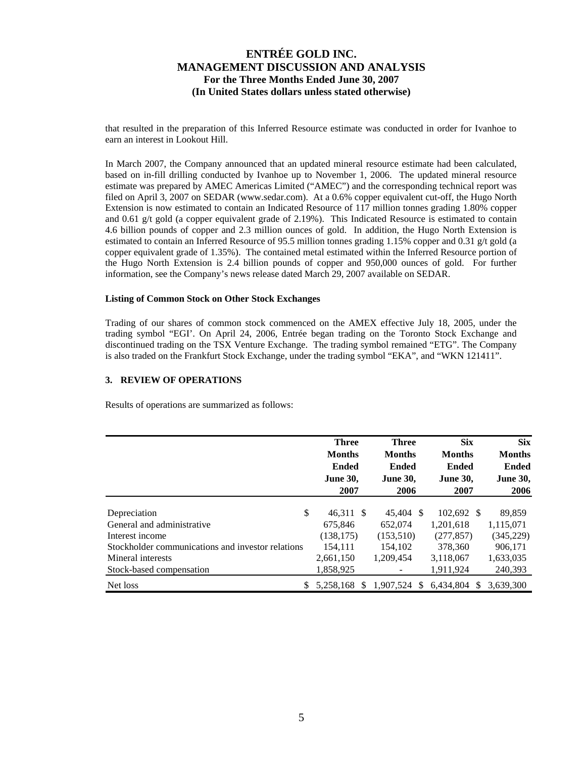that resulted in the preparation of this Inferred Resource estimate was conducted in order for Ivanhoe to earn an interest in Lookout Hill.

In March 2007, the Company announced that an updated mineral resource estimate had been calculated, based on in-fill drilling conducted by Ivanhoe up to November 1, 2006. The updated mineral resource estimate was prepared by AMEC Americas Limited ("AMEC") and the corresponding technical report was filed on April 3, 2007 on SEDAR [\(www.sedar.com](http://www.sedar.com/)). At a 0.6% copper equivalent cut-off, the Hugo North Extension is now estimated to contain an Indicated Resource of 117 million tonnes grading 1.80% copper and 0.61 g/t gold (a copper equivalent grade of 2.19%). This Indicated Resource is estimated to contain 4.6 billion pounds of copper and 2.3 million ounces of gold. In addition, the Hugo North Extension is estimated to contain an Inferred Resource of 95.5 million tonnes grading 1.15% copper and 0.31 g/t gold (a copper equivalent grade of 1.35%). The contained metal estimated within the Inferred Resource portion of the Hugo North Extension is 2.4 billion pounds of copper and 950,000 ounces of gold. For further information, see the Company's news release dated March 29, 2007 available on SEDAR.

#### **Listing of Common Stock on Other Stock Exchanges**

Trading of our shares of common stock commenced on the AMEX effective July 18, 2005, under the trading symbol "EGI'. On April 24, 2006, Entrée began trading on the Toronto Stock Exchange and discontinued trading on the TSX Venture Exchange. The trading symbol remained "ETG". The Company is also traded on the Frankfurt Stock Exchange, under the trading symbol "EKA", and "WKN 121411".

#### **3. REVIEW OF OPERATIONS**

Results of operations are summarized as follows:

|                                                   | <b>Three</b>               | <b>Three</b>               | <b>Six</b>       | <b>Six</b><br><b>Months</b> |  |
|---------------------------------------------------|----------------------------|----------------------------|------------------|-----------------------------|--|
|                                                   | <b>Months</b>              | <b>Months</b>              | <b>Months</b>    |                             |  |
|                                                   | <b>Ended</b>               | <b>Ended</b>               | <b>Ended</b>     | <b>Ended</b>                |  |
|                                                   | <b>June 30,</b>            | <b>June 30.</b>            | <b>June 30.</b>  | <b>June 30,</b>             |  |
|                                                   | 2007                       | 2006                       | 2007             | 2006                        |  |
| \$<br>Depreciation                                | 46,311 \$                  | 45.404 \$                  | 102.692 \$       | 89.859                      |  |
| General and administrative                        | 675.846                    | 652,074                    | 1.201.618        | 1,115,071                   |  |
| Interest income                                   | (138, 175)                 | (153,510)                  | (277, 857)       | (345, 229)                  |  |
| Stockholder communications and investor relations | 154.111                    | 154.102                    | 378,360          | 906.171                     |  |
| Mineral interests                                 | 2,661,150                  | 1.209.454                  | 3,118,067        | 1,633,035                   |  |
| Stock-based compensation                          | 1,858,925                  |                            | 1,911,924        | 240,393                     |  |
| Net loss                                          | 5.258.168<br><sup>\$</sup> | 1,907,524<br><sup>\$</sup> | 6.434.804<br>\$. | 3.639.300                   |  |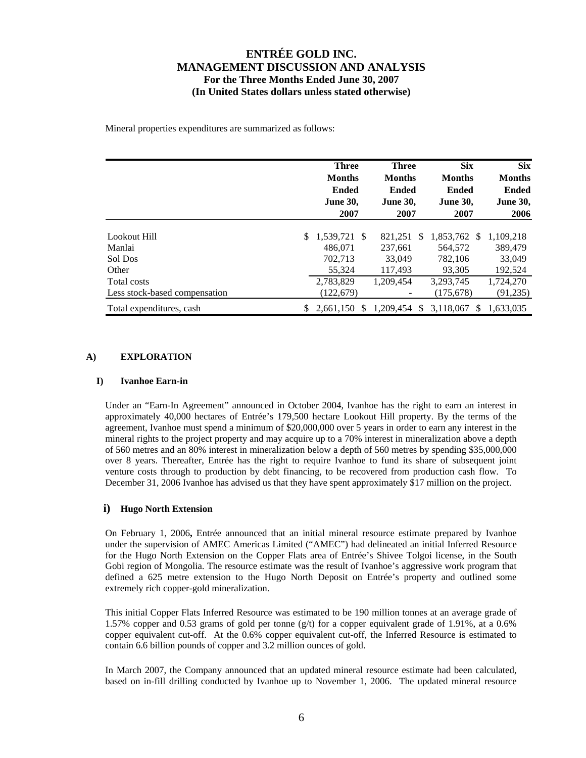Mineral properties expenditures are summarized as follows:

|                               | <b>Three</b><br><b>Months</b><br><b>Ended</b><br><b>June 30,</b> |                | <b>Three</b><br><b>Months</b><br><b>Ended</b><br><b>June 30,</b> | <b>Six</b><br><b>Months</b><br><b>Ended</b><br><b>June 30,</b> | <b>Six</b><br><b>Months</b><br><b>Ended</b><br><b>June 30,</b> |  |
|-------------------------------|------------------------------------------------------------------|----------------|------------------------------------------------------------------|----------------------------------------------------------------|----------------------------------------------------------------|--|
|                               |                                                                  | 2007           | 2007                                                             | 2007                                                           | 2006                                                           |  |
| Lookout Hill                  | \$                                                               | 1,539,721 \$   | 821,251<br>\$.                                                   | 1,853,762 \$                                                   | 1,109,218                                                      |  |
| Manlai                        |                                                                  | 486.071        | 237,661                                                          | 564,572                                                        | 389,479                                                        |  |
| Sol Dos                       |                                                                  | 702,713        | 33,049                                                           | 782,106                                                        | 33,049                                                         |  |
| Other                         |                                                                  | 55.324         | 117.493                                                          | 93.305                                                         | 192,524                                                        |  |
| Total costs                   |                                                                  | 2,783,829      | 1.209.454                                                        | 3, 293, 745                                                    | 1,724,270                                                      |  |
| Less stock-based compensation |                                                                  | (122, 679)     |                                                                  | (175, 678)                                                     | (91, 235)                                                      |  |
| Total expenditures, cash      | \$                                                               | $2.661.150$ \$ | 1,209,454<br>S.                                                  | 3,118,067<br>\$.                                               | 1.633.035                                                      |  |

### **A) EXPLORATION**

#### **I) Ivanhoe Earn-in**

Under an "Earn-In Agreement" announced in October 2004, Ivanhoe has the right to earn an interest in approximately 40,000 hectares of Entrée's 179,500 hectare Lookout Hill property. By the terms of the agreement, Ivanhoe must spend a minimum of \$20,000,000 over 5 years in order to earn any interest in the mineral rights to the project property and may acquire up to a 70% interest in mineralization above a depth of 560 metres and an 80% interest in mineralization below a depth of 560 metres by spending \$35,000,000 over 8 years. Thereafter, Entrée has the right to require Ivanhoe to fund its share of subsequent joint venture costs through to production by debt financing, to be recovered from production cash flow. To December 31, 2006 Ivanhoe has advised us that they have spent approximately \$17 million on the project.

### **i) Hugo North Extension**

On February 1, 2006**,** Entrée announced that an initial mineral resource estimate prepared by Ivanhoe under the supervision of AMEC Americas Limited ("AMEC") had delineated an initial Inferred Resource for the Hugo North Extension on the Copper Flats area of Entrée's Shivee Tolgoi license, in the South Gobi region of Mongolia. The resource estimate was the result of Ivanhoe's aggressive work program that defined a 625 metre extension to the Hugo North Deposit on Entrée's property and outlined some extremely rich copper-gold mineralization.

This initial Copper Flats Inferred Resource was estimated to be 190 million tonnes at an average grade of 1.57% copper and 0.53 grams of gold per tonne  $(g/t)$  for a copper equivalent grade of 1.91%, at a 0.6% copper equivalent cut-off. At the 0.6% copper equivalent cut-off, the Inferred Resource is estimated to contain 6.6 billion pounds of copper and 3.2 million ounces of gold.

In March 2007, the Company announced that an updated mineral resource estimate had been calculated, based on in-fill drilling conducted by Ivanhoe up to November 1, 2006. The updated mineral resource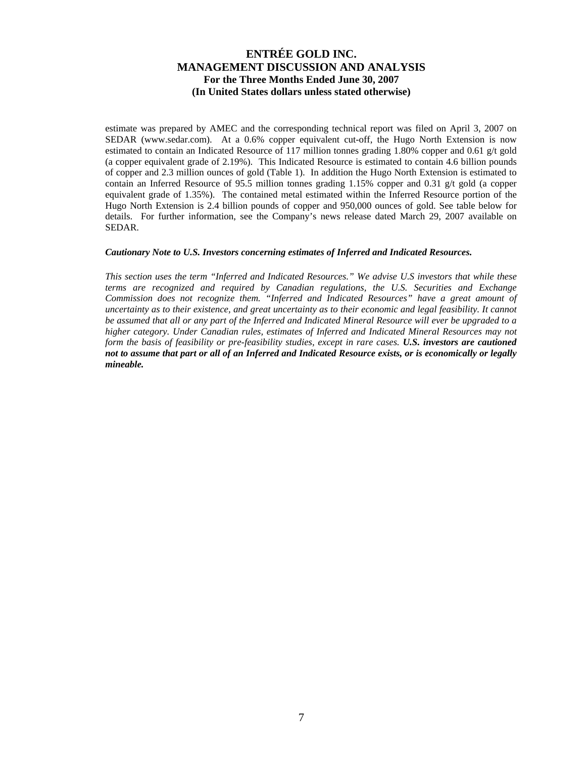estimate was prepared by AMEC and the corresponding technical report was filed on April 3, 2007 on SEDAR ([www.sedar.com\)](http://www.sedar.com/). At a 0.6% copper equivalent cut-off, the Hugo North Extension is now estimated to contain an Indicated Resource of 117 million tonnes grading 1.80% copper and 0.61 g/t gold (a copper equivalent grade of 2.19%). This Indicated Resource is estimated to contain 4.6 billion pounds of copper and 2.3 million ounces of gold (Table 1). In addition the Hugo North Extension is estimated to contain an Inferred Resource of 95.5 million tonnes grading 1.15% copper and 0.31 g/t gold (a copper equivalent grade of 1.35%). The contained metal estimated within the Inferred Resource portion of the Hugo North Extension is 2.4 billion pounds of copper and 950,000 ounces of gold. See table below for details. For further information, see the Company's news release dated March 29, 2007 available on SEDAR.

#### *Cautionary Note to U.S. Investors concerning estimates of Inferred and Indicated Resources.*

*This section uses the term "Inferred and Indicated Resources." We advise U.S investors that while these terms are recognized and required by Canadian regulations, the U.S. Securities and Exchange Commission does not recognize them. "Inferred and Indicated Resources" have a great amount of uncertainty as to their existence, and great uncertainty as to their economic and legal feasibility. It cannot be assumed that all or any part of the Inferred and Indicated Mineral Resource will ever be upgraded to a higher category. Under Canadian rules, estimates of Inferred and Indicated Mineral Resources may not form the basis of feasibility or pre-feasibility studies, except in rare cases. U.S. investors are cautioned not to assume that part or all of an Inferred and Indicated Resource exists, or is economically or legally mineable.*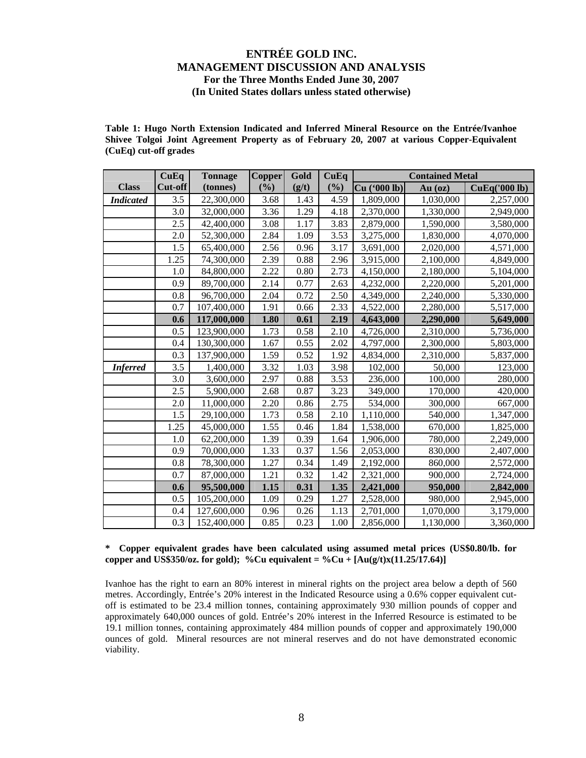**Table 1: Hugo North Extension Indicated and Inferred Mineral Resource on the Entrée/Ivanhoe Shivee Tolgoi Joint Agreement Property as of February 20, 2007 at various Copper-Equivalent (CuEq) cut-off grades** 

|                  | CuEq    | <b>Tonnage</b> | <b>Copper</b> | Gold  | CuEq   | <b>Contained Metal</b> |           |               |
|------------------|---------|----------------|---------------|-------|--------|------------------------|-----------|---------------|
| <b>Class</b>     | Cut-off | (tonnes)       | $(\%)$        | (g/t) | $(\%)$ | Cu ('000 lb)           | $Au$ (oz) | CuEq('000 lb) |
| <b>Indicated</b> | 3.5     | 22,300,000     | 3.68          | 1.43  | 4.59   | 1,809,000              | 1,030,000 | 2,257,000     |
|                  | 3.0     | 32,000,000     | 3.36          | 1.29  | 4.18   | 2,370,000              | 1,330,000 | 2,949,000     |
|                  | 2.5     | 42,400,000     | 3.08          | 1.17  | 3.83   | 2,879,000              | 1,590,000 | 3,580,000     |
|                  | 2.0     | 52,300,000     | 2.84          | 1.09  | 3.53   | 3,275,000              | 1,830,000 | 4,070,000     |
|                  | 1.5     | 65,400,000     | 2.56          | 0.96  | 3.17   | 3,691,000              | 2,020,000 | 4,571,000     |
|                  | 1.25    | 74,300,000     | 2.39          | 0.88  | 2.96   | 3,915,000              | 2,100,000 | 4,849,000     |
|                  | 1.0     | 84,800,000     | 2.22          | 0.80  | 2.73   | 4,150,000              | 2,180,000 | 5,104,000     |
|                  | 0.9     | 89,700,000     | 2.14          | 0.77  | 2.63   | 4,232,000              | 2,220,000 | 5,201,000     |
|                  | 0.8     | 96,700,000     | 2.04          | 0.72  | 2.50   | 4,349,000              | 2,240,000 | 5,330,000     |
|                  | 0.7     | 107,400,000    | 1.91          | 0.66  | 2.33   | 4,522,000              | 2,280,000 | 5,517,000     |
|                  | 0.6     | 117,000,000    | 1.80          | 0.61  | 2.19   | 4,643,000              | 2,290,000 | 5,649,000     |
|                  | 0.5     | 123,900,000    | 1.73          | 0.58  | 2.10   | 4,726,000              | 2,310,000 | 5,736,000     |
|                  | 0.4     | 130,300,000    | 1.67          | 0.55  | 2.02   | 4,797,000              | 2,300,000 | 5,803,000     |
|                  | 0.3     | 137,900,000    | 1.59          | 0.52  | 1.92   | 4,834,000              | 2,310,000 | 5,837,000     |
| <b>Inferred</b>  | 3.5     | 1,400,000      | 3.32          | 1.03  | 3.98   | 102,000                | 50,000    | 123,000       |
|                  | 3.0     | 3,600,000      | 2.97          | 0.88  | 3.53   | 236,000                | 100,000   | 280,000       |
|                  | 2.5     | 5,900,000      | 2.68          | 0.87  | 3.23   | 349,000                | 170,000   | 420,000       |
|                  | 2.0     | 11,000,000     | 2.20          | 0.86  | 2.75   | 534,000                | 300,000   | 667,000       |
|                  | 1.5     | 29,100,000     | 1.73          | 0.58  | 2.10   | 1,110,000              | 540,000   | 1,347,000     |
|                  | 1.25    | 45,000,000     | 1.55          | 0.46  | 1.84   | 1,538,000              | 670,000   | 1,825,000     |
|                  | 1.0     | 62,200,000     | 1.39          | 0.39  | 1.64   | 1,906,000              | 780,000   | 2,249,000     |
|                  | 0.9     | 70,000,000     | 1.33          | 0.37  | 1.56   | 2,053,000              | 830,000   | 2,407,000     |
|                  | 0.8     | 78,300,000     | 1.27          | 0.34  | 1.49   | 2,192,000              | 860,000   | 2,572,000     |
|                  | 0.7     | 87,000,000     | 1.21          | 0.32  | 1.42   | 2,321,000              | 900,000   | 2,724,000     |
|                  | 0.6     | 95,500,000     | 1.15          | 0.31  | 1.35   | 2,421,000              | 950,000   | 2,842,000     |
|                  | 0.5     | 105,200,000    | 1.09          | 0.29  | 1.27   | 2,528,000              | 980,000   | 2,945,000     |
|                  | 0.4     | 127,600,000    | 0.96          | 0.26  | 1.13   | 2,701,000              | 1,070,000 | 3,179,000     |
|                  | 0.3     | 152,400,000    | 0.85          | 0.23  | 1.00   | 2,856,000              | 1,130,000 | 3,360,000     |

### **\* Copper equivalent grades have been calculated using assumed metal prices (US\$0.80/lb. for copper and US\$350/oz. for gold); %Cu equivalent = %Cu +**  $[Au(g/t)x(11.25/17.64)]$

Ivanhoe has the right to earn an 80% interest in mineral rights on the project area below a depth of 560 metres. Accordingly, Entrée's 20% interest in the Indicated Resource using a 0.6% copper equivalent cutoff is estimated to be 23.4 million tonnes, containing approximately 930 million pounds of copper and approximately 640,000 ounces of gold. Entrée's 20% interest in the Inferred Resource is estimated to be 19.1 million tonnes, containing approximately 484 million pounds of copper and approximately 190,000 ounces of gold. Mineral resources are not mineral reserves and do not have demonstrated economic viability.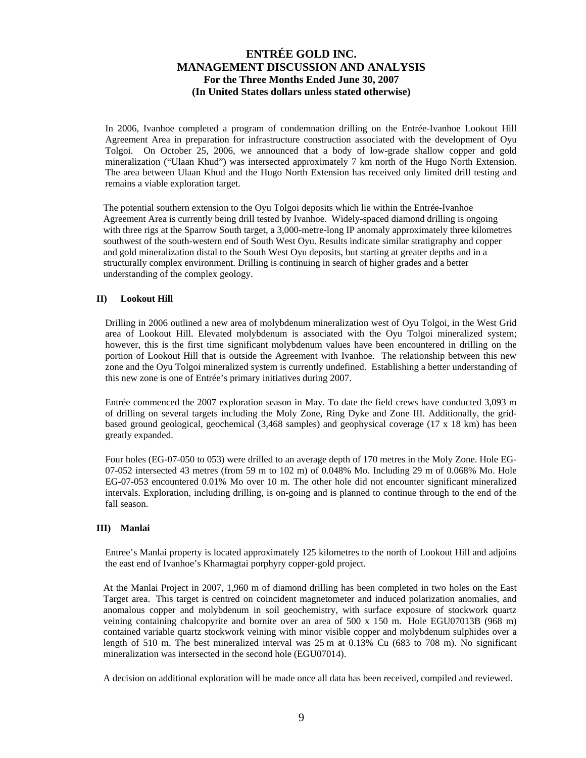In 2006, Ivanhoe completed a program of condemnation drilling on the Entrée-Ivanhoe Lookout Hill Agreement Area in preparation for infrastructure construction associated with the development of Oyu Tolgoi. On October 25, 2006, we announced that a body of low-grade shallow copper and gold mineralization ("Ulaan Khud") was intersected approximately 7 km north of the Hugo North Extension. The area between Ulaan Khud and the Hugo North Extension has received only limited drill testing and remains a viable exploration target.

The potential southern extension to the Oyu Tolgoi deposits which lie within the Entrée-Ivanhoe Agreement Area is currently being drill tested by Ivanhoe. Widely-spaced diamond drilling is ongoing with three rigs at the Sparrow South target, a 3,000-metre-long IP anomaly approximately three kilometres southwest of the south-western end of South West Oyu. Results indicate similar stratigraphy and copper and gold mineralization distal to the South West Oyu deposits, but starting at greater depths and in a structurally complex environment. Drilling is continuing in search of higher grades and a better understanding of the complex geology.

### **II) Lookout Hill**

Drilling in 2006 outlined a new area of molybdenum mineralization west of Oyu Tolgoi, in the West Grid area of Lookout Hill. Elevated molybdenum is associated with the Oyu Tolgoi mineralized system; however, this is the first time significant molybdenum values have been encountered in drilling on the portion of Lookout Hill that is outside the Agreement with Ivanhoe. The relationship between this new zone and the Oyu Tolgoi mineralized system is currently undefined. Establishing a better understanding of this new zone is one of Entrée's primary initiatives during 2007.

Entrée commenced the 2007 exploration season in May. To date the field crews have conducted 3,093 m of drilling on several targets including the Moly Zone, Ring Dyke and Zone III. Additionally, the gridbased ground geological, geochemical (3,468 samples) and geophysical coverage (17 x 18 km) has been greatly expanded.

Four holes (EG-07-050 to 053) were drilled to an average depth of 170 metres in the Moly Zone. Hole EG-07-052 intersected 43 metres (from 59 m to 102 m) of 0.048% Mo. Including 29 m of 0.068% Mo. Hole EG-07-053 encountered 0.01% Mo over 10 m. The other hole did not encounter significant mineralized intervals. Exploration, including drilling, is on-going and is planned to continue through to the end of the fall season.

#### **III) Manlai**

Entree's Manlai property is located approximately 125 kilometres to the north of Lookout Hill and adjoins the east end of Ivanhoe's Kharmagtai porphyry copper-gold project.

At the Manlai Project in 2007, 1,960 m of diamond drilling has been completed in two holes on the East Target area. This target is centred on coincident magnetometer and induced polarization anomalies, and anomalous copper and molybdenum in soil geochemistry, with surface exposure of stockwork quartz veining containing chalcopyrite and bornite over an area of 500 x 150 m. Hole EGU07013B (968 m) contained variable quartz stockwork veining with minor visible copper and molybdenum sulphides over a length of 510 m. The best mineralized interval was 25 m at 0.13% Cu (683 to 708 m). No significant mineralization was intersected in the second hole (EGU07014).

A decision on additional exploration will be made once all data has been received, compiled and reviewed.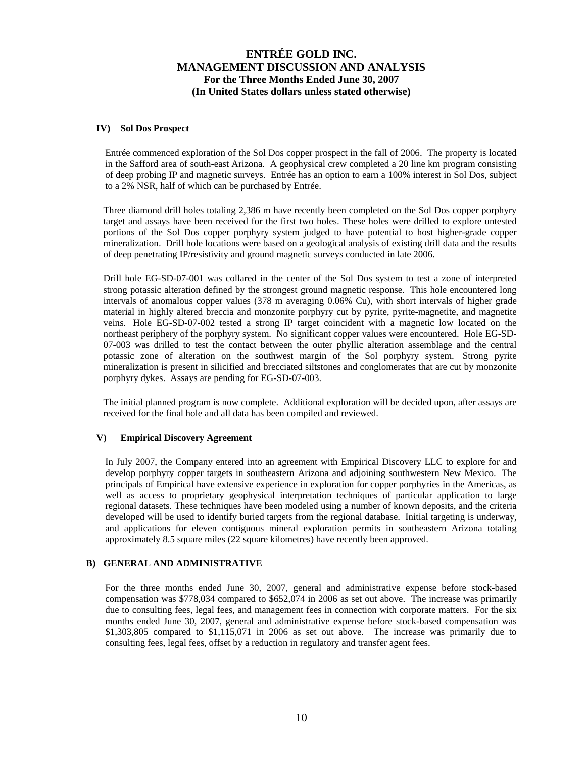#### **IV) Sol Dos Prospect**

Entrée commenced exploration of the Sol Dos copper prospect in the fall of 2006. The property is located in the Safford area of south-east Arizona. A geophysical crew completed a 20 line km program consisting of deep probing IP and magnetic surveys. Entrée has an option to earn a 100% interest in Sol Dos, subject to a 2% NSR, half of which can be purchased by Entrée.

Three diamond drill holes totaling 2,386 m have recently been completed on the Sol Dos copper porphyry target and assays have been received for the first two holes. These holes were drilled to explore untested portions of the Sol Dos copper porphyry system judged to have potential to host higher-grade copper mineralization. Drill hole locations were based on a geological analysis of existing drill data and the results of deep penetrating IP/resistivity and ground magnetic surveys conducted in late 2006.

Drill hole EG-SD-07-001 was collared in the center of the Sol Dos system to test a zone of interpreted strong potassic alteration defined by the strongest ground magnetic response. This hole encountered long intervals of anomalous copper values (378 m averaging 0.06% Cu), with short intervals of higher grade material in highly altered breccia and monzonite porphyry cut by pyrite, pyrite-magnetite, and magnetite veins. Hole EG-SD-07-002 tested a strong IP target coincident with a magnetic low located on the northeast periphery of the porphyry system. No significant copper values were encountered. Hole EG-SD-07-003 was drilled to test the contact between the outer phyllic alteration assemblage and the central potassic zone of alteration on the southwest margin of the Sol porphyry system. Strong pyrite mineralization is present in silicified and brecciated siltstones and conglomerates that are cut by monzonite porphyry dykes. Assays are pending for EG-SD-07-003.

The initial planned program is now complete. Additional exploration will be decided upon, after assays are received for the final hole and all data has been compiled and reviewed.

### **V) Empirical Discovery Agreement**

In July 2007, the Company entered into an agreement with Empirical Discovery LLC to explore for and develop porphyry copper targets in southeastern Arizona and adjoining southwestern New Mexico. The principals of Empirical have extensive experience in exploration for copper porphyries in the Americas, as well as access to proprietary geophysical interpretation techniques of particular application to large regional datasets. These techniques have been modeled using a number of known deposits, and the criteria developed will be used to identify buried targets from the regional database. Initial targeting is underway, and applications for eleven contiguous mineral exploration permits in southeastern Arizona totaling approximately 8.5 square miles (22 square kilometres) have recently been approved.

### **B) GENERAL AND ADMINISTRATIVE**

For the three months ended June 30, 2007, general and administrative expense before stock-based compensation was \$778,034 compared to \$652,074 in 2006 as set out above. The increase was primarily due to consulting fees, legal fees, and management fees in connection with corporate matters. For the six months ended June 30, 2007, general and administrative expense before stock-based compensation was \$1,303,805 compared to \$1,115,071 in 2006 as set out above. The increase was primarily due to consulting fees, legal fees, offset by a reduction in regulatory and transfer agent fees.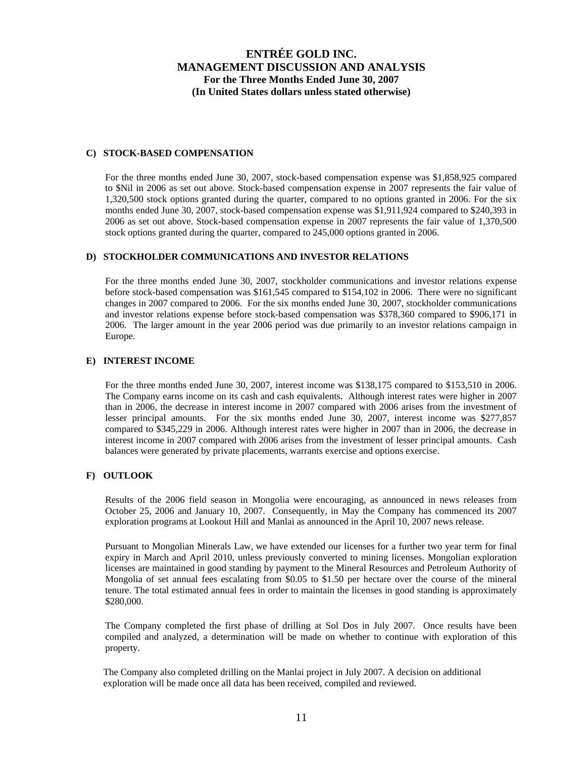### **C) STOCK-BASED COMPENSATION**

For the three months ended June 30, 2007, stock-based compensation expense was \$1,858,925 compared to \$Nil in 2006 as set out above. Stock-based compensation expense in 2007 represents the fair value of 1,320,500 stock options granted during the quarter, compared to no options granted in 2006. For the six months ended June 30, 2007, stock-based compensation expense was \$1,911,924 compared to \$240,393 in 2006 as set out above. Stock-based compensation expense in 2007 represents the fair value of 1,370,500 stock options granted during the quarter, compared to 245,000 options granted in 2006.

#### **D) STOCKHOLDER COMMUNICATIONS AND INVESTOR RELATIONS**

For the three months ended June 30, 2007, stockholder communications and investor relations expense before stock-based compensation was \$161,545 compared to \$154,102 in 2006. There were no significant changes in 2007 compared to 2006. For the six months ended June 30, 2007, stockholder communications and investor relations expense before stock-based compensation was \$378,360 compared to \$906,171 in 2006. The larger amount in the year 2006 period was due primarily to an investor relations campaign in Europe.

#### **E) INTEREST INCOME**

For the three months ended June 30, 2007, interest income was \$138,175 compared to \$153,510 in 2006. The Company earns income on its cash and cash equivalents. Although interest rates were higher in 2007 than in 2006, the decrease in interest income in 2007 compared with 2006 arises from the investment of lesser principal amounts. For the six months ended June 30, 2007, interest income was \$277,857 compared to \$345,229 in 2006. Although interest rates were higher in 2007 than in 2006, the decrease in interest income in 2007 compared with 2006 arises from the investment of lesser principal amounts. Cash balances were generated by private placements, warrants exercise and options exercise.

#### **F) OUTLOOK**

Results of the 2006 field season in Mongolia were encouraging, as announced in news releases from October 25, 2006 and January 10, 2007. Consequently, in May the Company has commenced its 2007 exploration programs at Lookout Hill and Manlai as announced in the April 10, 2007 news release.

Pursuant to Mongolian Minerals Law, we have extended our licenses for a further two year term for final expiry in March and April 2010, unless previously converted to mining licenses. Mongolian exploration licenses are maintained in good standing by payment to the Mineral Resources and Petroleum Authority of Mongolia of set annual fees escalating from \$0.05 to \$1.50 per hectare over the course of the mineral tenure. The total estimated annual fees in order to maintain the licenses in good standing is approximately \$280,000.

The Company completed the first phase of drilling at Sol Dos in July 2007. Once results have been compiled and analyzed, a determination will be made on whether to continue with exploration of this property.

The Company also completed drilling on the Manlai project in July 2007. A decision on additional exploration will be made once all data has been received, compiled and reviewed.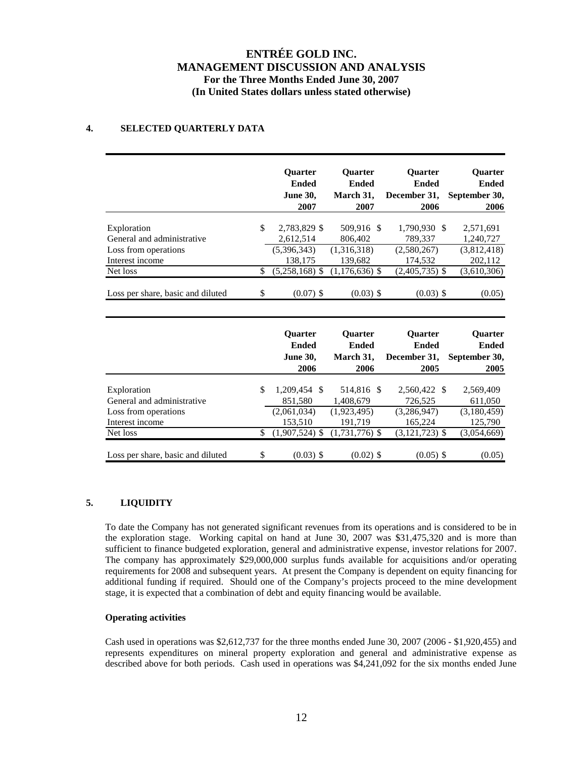### **4. SELECTED QUARTERLY DATA**

|                                                                                                  |          | Quarter<br><b>Ended</b><br><b>June 30,</b><br>2007                    | <b>Quarter</b><br><b>Ended</b><br>March 31,<br>2007                   | <b>Quarter</b><br><b>Ended</b><br>December 31,<br>2006                  | <b>Quarter</b><br><b>Ended</b><br>September 30,<br>2006       |
|--------------------------------------------------------------------------------------------------|----------|-----------------------------------------------------------------------|-----------------------------------------------------------------------|-------------------------------------------------------------------------|---------------------------------------------------------------|
| Exploration<br>General and administrative<br>Loss from operations                                | \$       | 2,783,829 \$<br>2,612,514<br>(5,396,343)                              | 509,916 \$<br>806,402<br>(1,316,318)                                  | 1,790,930 \$<br>789,337<br>(2,580,267)                                  | 2,571,691<br>1,240,727<br>(3,812,418)                         |
| Interest income<br>Net loss                                                                      | \$       | 138,175<br>$(5,258,168)$ \$                                           | 139,682<br>$(1,176,636)$ \$                                           | 174,532<br>$(2,405,735)$ \$                                             | 202,112<br>(3,610,306)                                        |
| Loss per share, basic and diluted                                                                | \$       | $(0.07)$ \$                                                           | $(0.03)$ \$                                                           | $(0.03)$ \$                                                             | (0.05)                                                        |
|                                                                                                  |          | <b>Ouarter</b><br><b>Ended</b><br><b>June 30,</b><br>2006             | <b>Quarter</b><br><b>Ended</b><br>March 31,<br>2006                   | <b>Quarter</b><br><b>Ended</b><br>December 31,<br>2005                  | Quarter<br><b>Ended</b><br>September 30,<br>2005              |
| Exploration<br>General and administrative<br>Loss from operations<br>Interest income<br>Net loss | \$<br>\$ | 1,209,454 \$<br>851,580<br>(2,061,034)<br>153,510<br>$(1,907,524)$ \$ | 514,816 \$<br>1,408,679<br>(1,923,495)<br>191,719<br>$(1,731,776)$ \$ | 2,560,422 \$<br>726,525<br>(3, 286, 947)<br>165,224<br>$(3,121,723)$ \$ | 2,569,409<br>611,050<br>(3,180,459)<br>125,790<br>(3,054,669) |
| Loss per share, basic and diluted                                                                | \$       | $(0.03)$ \$                                                           | $(0.02)$ \$                                                           | $(0.05)$ \$                                                             | (0.05)                                                        |

### **5. LIQUIDITY**

To date the Company has not generated significant revenues from its operations and is considered to be in the exploration stage. Working capital on hand at June 30, 2007 was \$31,475,320 and is more than sufficient to finance budgeted exploration, general and administrative expense, investor relations for 2007. The company has approximately \$29,000,000 surplus funds available for acquisitions and/or operating requirements for 2008 and subsequent years. At present the Company is dependent on equity financing for additional funding if required. Should one of the Company's projects proceed to the mine development stage, it is expected that a combination of debt and equity financing would be available.

### **Operating activities**

Cash used in operations was \$2,612,737 for the three months ended June 30, 2007 (2006 - \$1,920,455) and represents expenditures on mineral property exploration and general and administrative expense as described above for both periods. Cash used in operations was \$4,241,092 for the six months ended June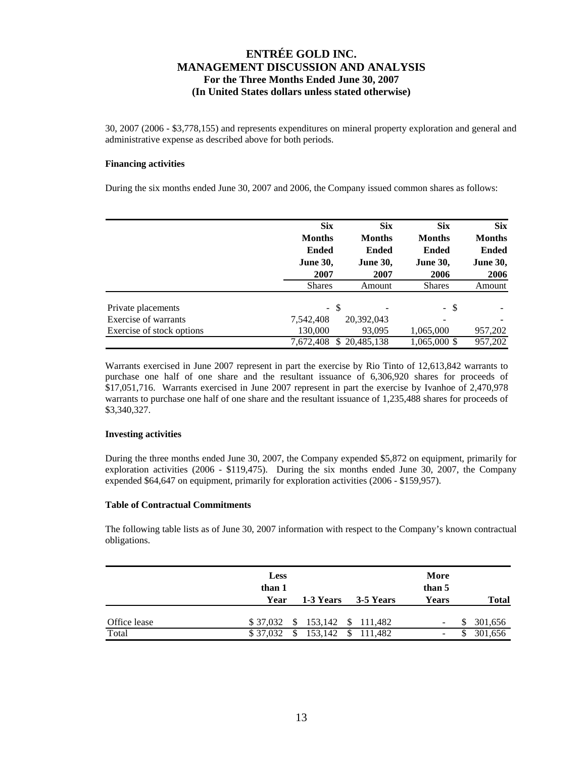30, 2007 (2006 - \$3,778,155) and represents expenditures on mineral property exploration and general and administrative expense as described above for both periods.

#### **Financing activities**

During the six months ended June 30, 2007 and 2006, the Company issued common shares as follows:

|                           | <b>Six</b>      | <b>Six</b>      | <b>Six</b>      | <b>Six</b>      |
|---------------------------|-----------------|-----------------|-----------------|-----------------|
|                           | <b>Months</b>   | <b>Months</b>   | <b>Months</b>   | <b>Months</b>   |
|                           | <b>Ended</b>    | <b>Ended</b>    | <b>Ended</b>    | <b>Ended</b>    |
|                           | <b>June 30,</b> | <b>June 30,</b> | <b>June 30,</b> | <b>June 30,</b> |
|                           | 2007            | 2007            | 2006            | 2006            |
|                           | <b>Shares</b>   | Amount          | <b>Shares</b>   | Amount          |
| Private placements        | - \$            |                 | - \$            |                 |
| Exercise of warrants      | 7,542,408       | 20,392,043      | ۰               |                 |
| Exercise of stock options | 130,000         | 93,095          | 1,065,000       | 957,202         |
|                           | 7.672.408<br>S. | 20.485.138      | 1,065,000 \$    | 957,202         |

Warrants exercised in June 2007 represent in part the exercise by Rio Tinto of 12,613,842 warrants to purchase one half of one share and the resultant issuance of 6,306,920 shares for proceeds of \$17,051,716. Warrants exercised in June 2007 represent in part the exercise by Ivanhoe of 2,470,978 warrants to purchase one half of one share and the resultant issuance of 1,235,488 shares for proceeds of \$3,340,327.

#### **Investing activities**

During the three months ended June 30, 2007, the Company expended \$5,872 on equipment, primarily for exploration activities (2006 - \$119,475). During the six months ended June 30, 2007, the Company expended \$64,647 on equipment, primarily for exploration activities (2006 - \$159,957).

#### **Table of Contractual Commitments**

The following table lists as of June 30, 2007 information with respect to the Company's known contractual obligations.

|              | <b>Less</b><br>than 1<br>Year |         | 1-3 Years 3-5 Years | More<br>than 5<br>Years | <b>Total</b> |
|--------------|-------------------------------|---------|---------------------|-------------------------|--------------|
| Office lease | \$37,032<br>- S               |         | 153,142 \$ 111,482  |                         | 301,656      |
| Total        | \$37,032                      | 153,142 | \$111,482           |                         | 301,656      |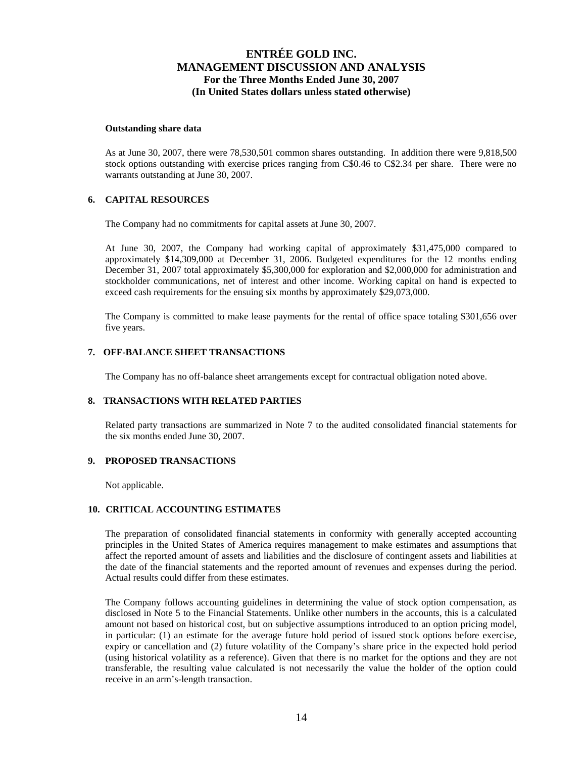#### **Outstanding share data**

As at June 30, 2007, there were 78,530,501 common shares outstanding. In addition there were 9,818,500 stock options outstanding with exercise prices ranging from C\$0.46 to C\$2.34 per share. There were no warrants outstanding at June 30, 2007.

#### **6. CAPITAL RESOURCES**

The Company had no commitments for capital assets at June 30, 2007.

At June 30, 2007, the Company had working capital of approximately \$31,475,000 compared to approximately \$14,309,000 at December 31, 2006. Budgeted expenditures for the 12 months ending December 31, 2007 total approximately \$5,300,000 for exploration and \$2,000,000 for administration and stockholder communications, net of interest and other income. Working capital on hand is expected to exceed cash requirements for the ensuing six months by approximately \$29,073,000.

The Company is committed to make lease payments for the rental of office space totaling \$301,656 over five years.

#### **7. OFF-BALANCE SHEET TRANSACTIONS**

The Company has no off-balance sheet arrangements except for contractual obligation noted above.

### **8. TRANSACTIONS WITH RELATED PARTIES**

Related party transactions are summarized in Note 7 to the audited consolidated financial statements for the six months ended June 30, 2007.

#### **9. PROPOSED TRANSACTIONS**

Not applicable.

#### **10. CRITICAL ACCOUNTING ESTIMATES**

The preparation of consolidated financial statements in conformity with generally accepted accounting principles in the United States of America requires management to make estimates and assumptions that affect the reported amount of assets and liabilities and the disclosure of contingent assets and liabilities at the date of the financial statements and the reported amount of revenues and expenses during the period. Actual results could differ from these estimates.

The Company follows accounting guidelines in determining the value of stock option compensation, as disclosed in Note 5 to the Financial Statements. Unlike other numbers in the accounts, this is a calculated amount not based on historical cost, but on subjective assumptions introduced to an option pricing model, in particular: (1) an estimate for the average future hold period of issued stock options before exercise, expiry or cancellation and (2) future volatility of the Company's share price in the expected hold period (using historical volatility as a reference). Given that there is no market for the options and they are not transferable, the resulting value calculated is not necessarily the value the holder of the option could receive in an arm's-length transaction.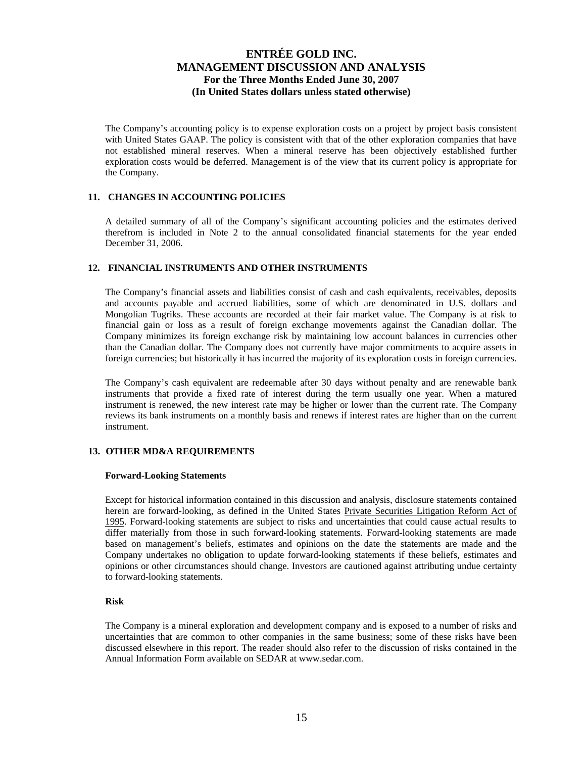The Company's accounting policy is to expense exploration costs on a project by project basis consistent with United States GAAP. The policy is consistent with that of the other exploration companies that have not established mineral reserves. When a mineral reserve has been objectively established further exploration costs would be deferred. Management is of the view that its current policy is appropriate for the Company.

### **11. CHANGES IN ACCOUNTING POLICIES**

A detailed summary of all of the Company's significant accounting policies and the estimates derived therefrom is included in Note 2 to the annual consolidated financial statements for the year ended December 31, 2006.

#### **12. FINANCIAL INSTRUMENTS AND OTHER INSTRUMENTS**

The Company's financial assets and liabilities consist of cash and cash equivalents, receivables, deposits and accounts payable and accrued liabilities, some of which are denominated in U.S. dollars and Mongolian Tugriks. These accounts are recorded at their fair market value. The Company is at risk to financial gain or loss as a result of foreign exchange movements against the Canadian dollar. The Company minimizes its foreign exchange risk by maintaining low account balances in currencies other than the Canadian dollar. The Company does not currently have major commitments to acquire assets in foreign currencies; but historically it has incurred the majority of its exploration costs in foreign currencies.

The Company's cash equivalent are redeemable after 30 days without penalty and are renewable bank instruments that provide a fixed rate of interest during the term usually one year. When a matured instrument is renewed, the new interest rate may be higher or lower than the current rate. The Company reviews its bank instruments on a monthly basis and renews if interest rates are higher than on the current instrument.

#### **13. OTHER MD&A REQUIREMENTS**

#### **Forward-Looking Statements**

Except for historical information contained in this discussion and analysis, disclosure statements contained herein are forward-looking, as defined in the United States Private Securities Litigation Reform Act of 1995. Forward-looking statements are subject to risks and uncertainties that could cause actual results to differ materially from those in such forward-looking statements. Forward-looking statements are made based on management's beliefs, estimates and opinions on the date the statements are made and the Company undertakes no obligation to update forward-looking statements if these beliefs, estimates and opinions or other circumstances should change. Investors are cautioned against attributing undue certainty to forward-looking statements.

### **Risk**

The Company is a mineral exploration and development company and is exposed to a number of risks and uncertainties that are common to other companies in the same business; some of these risks have been discussed elsewhere in this report. The reader should also refer to the discussion of risks contained in the Annual Information Form available on SEDAR at www.sedar.com.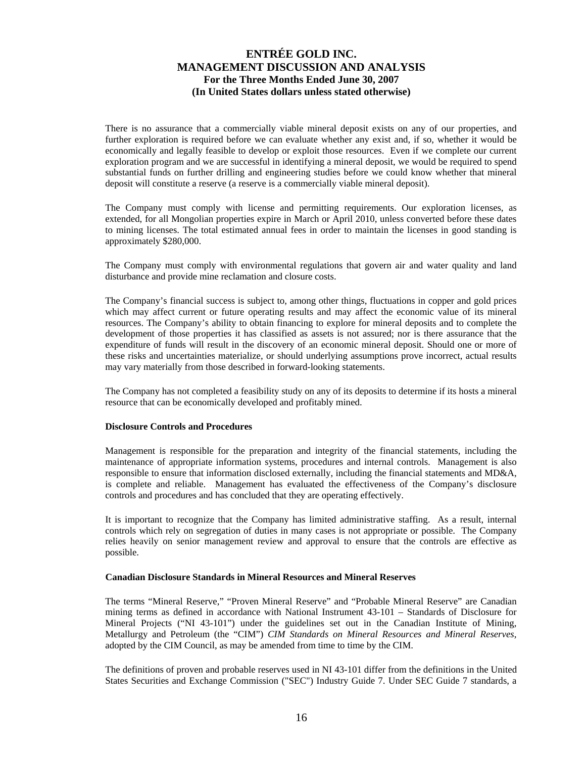There is no assurance that a commercially viable mineral deposit exists on any of our properties, and further exploration is required before we can evaluate whether any exist and, if so, whether it would be economically and legally feasible to develop or exploit those resources. Even if we complete our current exploration program and we are successful in identifying a mineral deposit, we would be required to spend substantial funds on further drilling and engineering studies before we could know whether that mineral deposit will constitute a reserve (a reserve is a commercially viable mineral deposit).

The Company must comply with license and permitting requirements. Our exploration licenses, as extended, for all Mongolian properties expire in March or April 2010, unless converted before these dates to mining licenses. The total estimated annual fees in order to maintain the licenses in good standing is approximately \$280,000.

The Company must comply with environmental regulations that govern air and water quality and land disturbance and provide mine reclamation and closure costs.

The Company's financial success is subject to, among other things, fluctuations in copper and gold prices which may affect current or future operating results and may affect the economic value of its mineral resources. The Company's ability to obtain financing to explore for mineral deposits and to complete the development of those properties it has classified as assets is not assured; nor is there assurance that the expenditure of funds will result in the discovery of an economic mineral deposit. Should one or more of these risks and uncertainties materialize, or should underlying assumptions prove incorrect, actual results may vary materially from those described in forward-looking statements.

The Company has not completed a feasibility study on any of its deposits to determine if its hosts a mineral resource that can be economically developed and profitably mined.

#### **Disclosure Controls and Procedures**

Management is responsible for the preparation and integrity of the financial statements, including the maintenance of appropriate information systems, procedures and internal controls. Management is also responsible to ensure that information disclosed externally, including the financial statements and MD&A, is complete and reliable. Management has evaluated the effectiveness of the Company's disclosure controls and procedures and has concluded that they are operating effectively.

It is important to recognize that the Company has limited administrative staffing. As a result, internal controls which rely on segregation of duties in many cases is not appropriate or possible. The Company relies heavily on senior management review and approval to ensure that the controls are effective as possible.

### **Canadian Disclosure Standards in Mineral Resources and Mineral Reserves**

The terms "Mineral Reserve," "Proven Mineral Reserve" and "Probable Mineral Reserve" are Canadian mining terms as defined in accordance with National Instrument 43-101 – Standards of Disclosure for Mineral Projects ("NI 43-101") under the guidelines set out in the Canadian Institute of Mining, Metallurgy and Petroleum (the "CIM") *CIM Standards on Mineral Resources and Mineral Reserves*, adopted by the CIM Council, as may be amended from time to time by the CIM.

The definitions of proven and probable reserves used in NI 43-101 differ from the definitions in the United States Securities and Exchange Commission ("SEC") Industry Guide 7. Under SEC Guide 7 standards, a